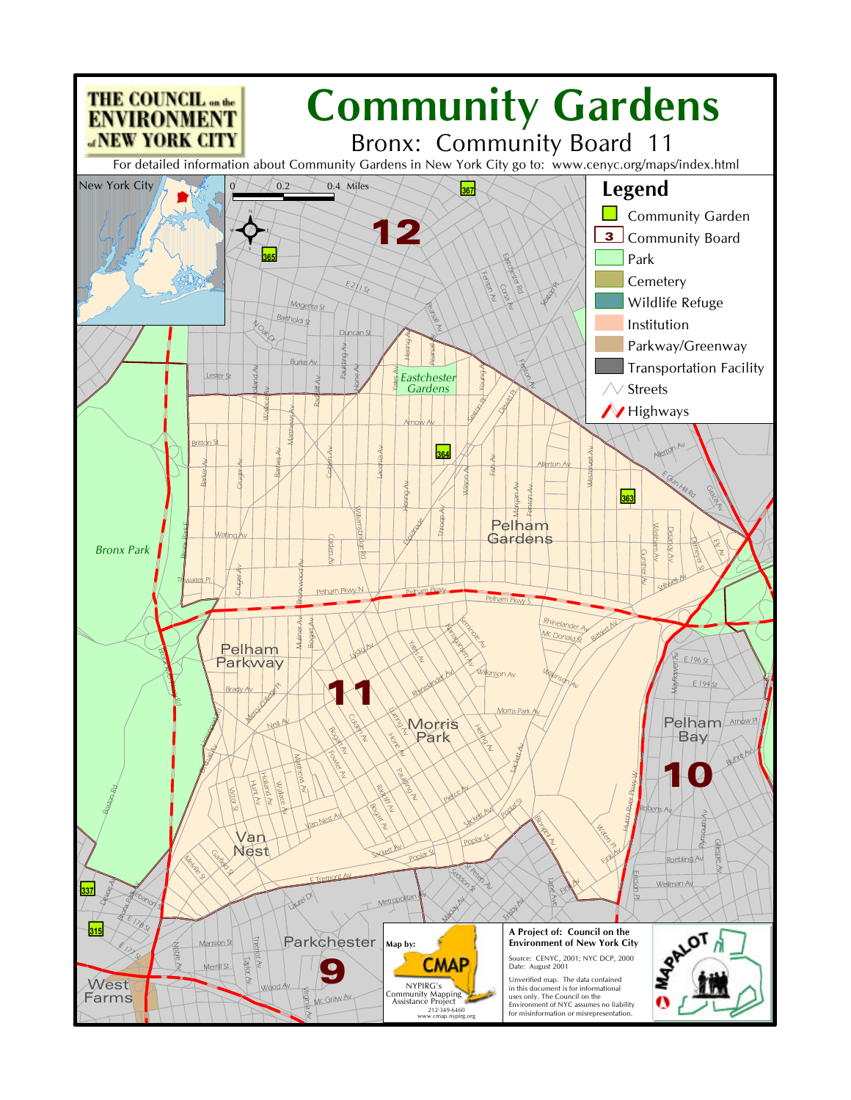